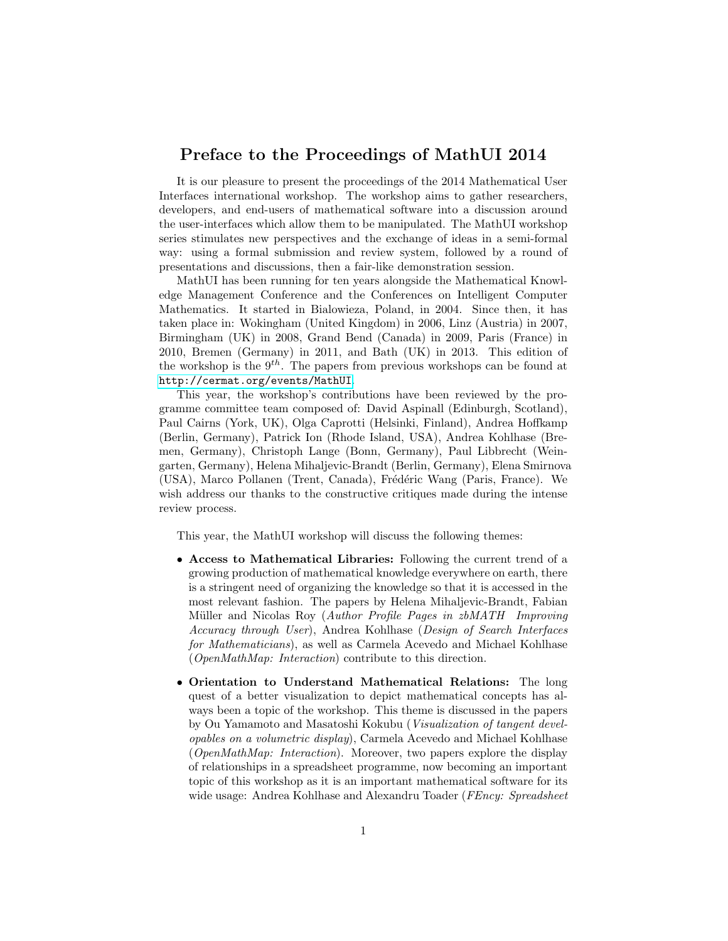## Preface to the Proceedings of MathUI 2014

It is our pleasure to present the proceedings of the 2014 Mathematical User Interfaces international workshop. The workshop aims to gather researchers, developers, and end-users of mathematical software into a discussion around the user-interfaces which allow them to be manipulated. The MathUI workshop series stimulates new perspectives and the exchange of ideas in a semi-formal way: using a formal submission and review system, followed by a round of presentations and discussions, then a fair-like demonstration session.

MathUI has been running for ten years alongside the Mathematical Knowledge Management Conference and the Conferences on Intelligent Computer Mathematics. It started in Bialowieza, Poland, in 2004. Since then, it has taken place in: Wokingham (United Kingdom) in 2006, Linz (Austria) in 2007, Birmingham (UK) in 2008, Grand Bend (Canada) in 2009, Paris (France) in 2010, Bremen (Germany) in 2011, and Bath (UK) in 2013. This edition of the workshop is the  $9<sup>th</sup>$ . The papers from previous workshops can be found at <http://cermat.org/events/MathUI>.

This year, the workshop's contributions have been reviewed by the programme committee team composed of: David Aspinall (Edinburgh, Scotland), Paul Cairns (York, UK), Olga Caprotti (Helsinki, Finland), Andrea Hoffkamp (Berlin, Germany), Patrick Ion (Rhode Island, USA), Andrea Kohlhase (Bremen, Germany), Christoph Lange (Bonn, Germany), Paul Libbrecht (Weingarten, Germany), Helena Mihaljevic-Brandt (Berlin, Germany), Elena Smirnova (USA), Marco Pollanen (Trent, Canada), Frédéric Wang (Paris, France). We wish address our thanks to the constructive critiques made during the intense review process.

This year, the MathUI workshop will discuss the following themes:

- Access to Mathematical Libraries: Following the current trend of a growing production of mathematical knowledge everywhere on earth, there is a stringent need of organizing the knowledge so that it is accessed in the most relevant fashion. The papers by Helena Mihaljevic-Brandt, Fabian Müller and Nicolas Roy (Author Profile Pages in zbMATH Improving Accuracy through User), Andrea Kohlhase (Design of Search Interfaces for Mathematicians), as well as Carmela Acevedo and Michael Kohlhase (OpenMathMap: Interaction) contribute to this direction.
- Orientation to Understand Mathematical Relations: The long quest of a better visualization to depict mathematical concepts has always been a topic of the workshop. This theme is discussed in the papers by Ou Yamamoto and Masatoshi Kokubu (Visualization of tangent developables on a volumetric display), Carmela Acevedo and Michael Kohlhase (OpenMathMap: Interaction). Moreover, two papers explore the display of relationships in a spreadsheet programme, now becoming an important topic of this workshop as it is an important mathematical software for its wide usage: Andrea Kohlhase and Alexandru Toader (FEncy: Spreadsheet